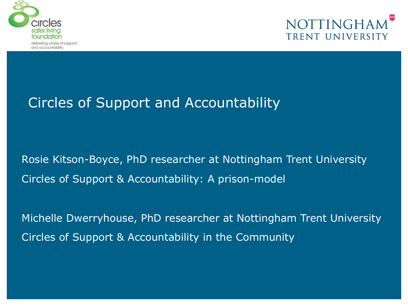



### Circles of Support and Accountability

Rosie Kitson-Boyce, PhD researcher at Nottingham Trent University Circles of Support & Accountability: A prison-model

Michelle Dwerryhouse, PhD researcher at Nottingham Trent University Circles of Support & Accountability in the Community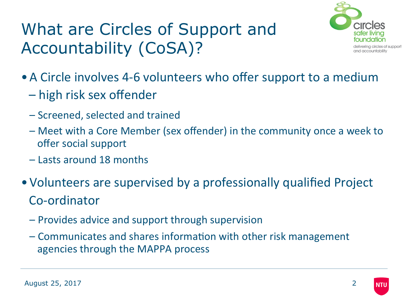## What are Circles of Support and Accountability (CoSA)?



- A Circle involves 4-6 volunteers who offer support to a medium
	- – high risk sex offender
	- Screened, selected and trained
	- Meet with a Core Member (sex offender) in the community once a week to offer social support
	- Lasts around 18 months
- Volunteers are supervised by a professionally qualified Project Co-ordinator
	- Provides advice and support through supervision
	- $-$  Communicates and shares information with other risk management agencies through the MAPPA process

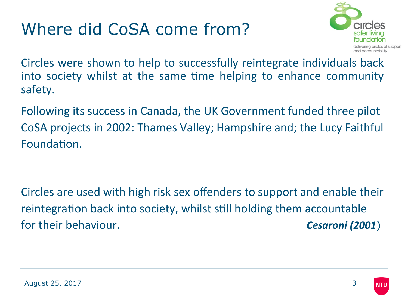## Where did CoSA come from?



Circles were shown to help to successfully reintegrate individuals back into society whilst at the same time helping to enhance community safety.

Following its success in Canada, the UK Government funded three pilot CoSA projects in 2002: Thames Valley; Hampshire and; the Lucy Faithful Foundation.

Circles are used with high risk sex offenders to support and enable their reintegration back into society, whilst still holding them accountable for their behaviour. **Cesaroni** (2001)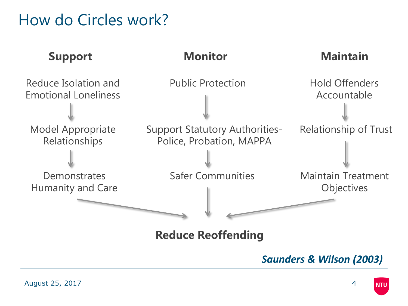### How do Circles work?



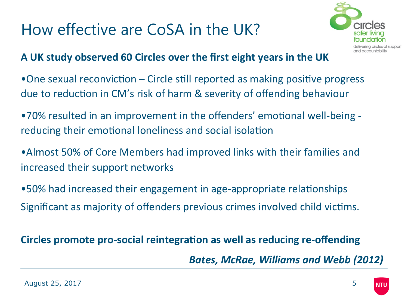### How effective are CoSA in the UK?



#### A UK study observed 60 Circles over the first eight years in the UK

- One sexual reconviction  $-$  Circle still reported as making positive progress due to reduction in CM's risk of harm & severity of offending behaviour
- •70% resulted in an improvement in the offenders' emotional well-being reducing their emotional loneliness and social isolation
- Almost 50% of Core Members had improved links with their families and increased their support networks
- •50% had increased their engagement in age-appropriate relationships Significant as majority of offenders previous crimes involved child victims.

### **Circles promote pro-social reintegration as well as reducing re-offending**

**Bates, McRae, Williams and Webb (2012)** 

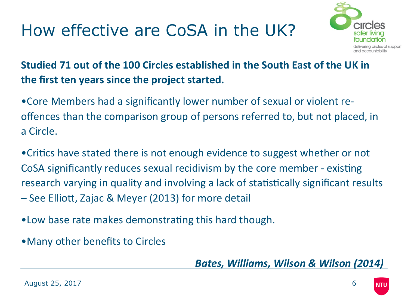# How effective are CoSA in the UK?



**Studied 71 out of the 100 Circles established in the South East of the UK in** the first ten years since the project started.

• Core Members had a significantly lower number of sexual or violent reoffences than the comparison group of persons referred to, but not placed, in a Circle. 

• Critics have stated there is not enough evidence to suggest whether or not CoSA significantly reduces sexual recidivism by the core member - existing research varying in quality and involving a lack of statistically significant results – See Elliott, Zajac & Meyer (2013) for more detail

•Low base rate makes demonstrating this hard though.

• Many other benefits to Circles

**Bates, Williams, Wilson & Wilson (2014)**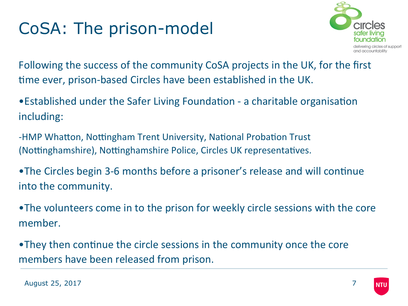# CoSA: The prison-model



Following the success of the community CoSA projects in the UK, for the first time ever, prison-based Circles have been established in the UK.

- Established under the Safer Living Foundation a charitable organisation including:
- -HMP Whatton, Nottingham Trent University, National Probation Trust (Nottinghamshire), Nottinghamshire Police, Circles UK representatives.
- •The Circles begin 3-6 months before a prisoner's release and will continue into the community.
- •The volunteers come in to the prison for weekly circle sessions with the core member.
- •They then continue the circle sessions in the community once the core members have been released from prison.

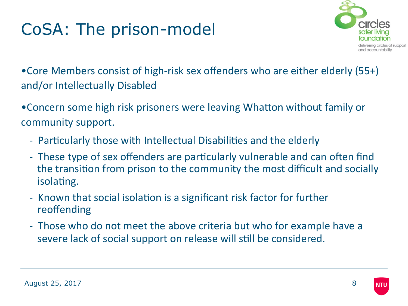# CoSA: The prison-model



• Core Members consist of high-risk sex offenders who are either elderly (55+) and/or Intellectually Disabled

• Concern some high risk prisoners were leaving Whatton without family or community support.

- Particularly those with Intellectual Disabilities and the elderly
- These type of sex offenders are particularly vulnerable and can often find the transition from prison to the community the most difficult and socially isolating.
- Known that social isolation is a significant risk factor for further reoffending
- Those who do not meet the above criteria but who for example have a severe lack of social support on release will still be considered.

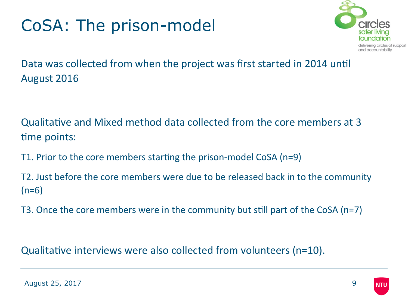# CoSA: The prison-model



Data was collected from when the project was first started in 2014 until August 2016

Qualitative and Mixed method data collected from the core members at 3 time points:

T1. Prior to the core members starting the prison-model CoSA (n=9)

T2. Just before the core members were due to be released back in to the community  $(n=6)$ 

T3. Once the core members were in the community but still part of the CoSA (n=7)

Qualitative interviews were also collected from volunteers ( $n=10$ ).

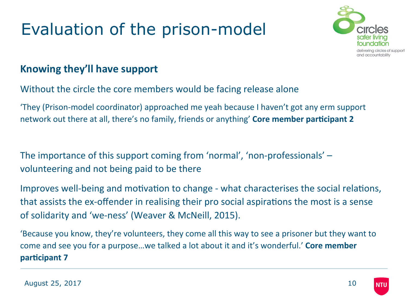

#### **Knowing they'll have support**

Without the circle the core members would be facing release alone

'They (Prison-model coordinator) approached me yeah because I haven't got any erm support network out there at all, there's no family, friends or anything' **Core member participant 2** 

The importance of this support coming from 'normal', 'non-professionals' – volunteering and not being paid to be there

Improves well-being and motivation to change - what characterises the social relations, that assists the ex-offender in realising their pro social aspirations the most is a sense of solidarity and 'we-ness' (Weaver & McNeill, 2015).

'Because you know, they're volunteers, they come all this way to see a prisoner but they want to come and see you for a purpose...we talked a lot about it and it's wonderful.' **Core member participant 7** 

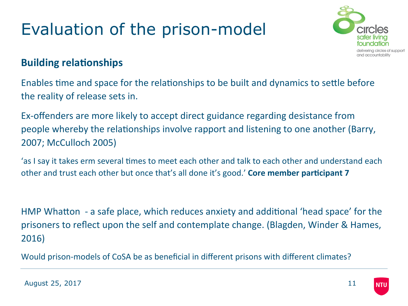

#### **Building relationships**

Enables time and space for the relationships to be built and dynamics to settle before the reality of release sets in.

Ex-offenders are more likely to accept direct guidance regarding desistance from people whereby the relationships involve rapport and listening to one another (Barry, 2007; McCulloch 2005)

'as I say it takes erm several times to meet each other and talk to each other and understand each other and trust each other but once that's all done it's good.' **Core member participant 7** 

HMP Whatton - a safe place, which reduces anxiety and additional 'head space' for the prisoners to reflect upon the self and contemplate change. (Blagden, Winder & Hames, 2016)

Would prison-models of CoSA be as beneficial in different prisons with different climates?

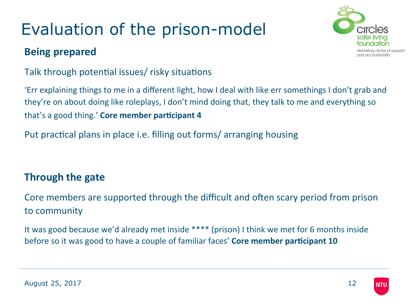#### **Being prepared**



Talk through potential issues/ risky situations

'Err explaining things to me in a different light, how I deal with like err somethings I don't grab and they're on about doing like roleplays, I don't mind doing that, they talk to me and everything so that's a good thing.' **Core member participant 4** 

Put practical plans in place i.e. filling out forms/ arranging housing

#### **Through the gate**

Core members are supported through the difficult and often scary period from prison to community

It was good because we'd already met inside  $***$  (prison) I think we met for 6 months inside before so it was good to have a couple of familiar faces' Core member participant 10

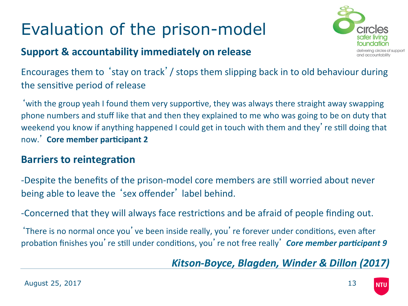#### **Support & accountability immediately on release**



Encourages them to 'stay on track' / stops them slipping back in to old behaviour during the sensitive period of release

with the group yeah I found them very supportive, they was always there straight away swapping phone numbers and stuff like that and then they explained to me who was going to be on duty that weekend you know if anything happened I could get in touch with them and they' re still doing that now.' Core member participant 2

#### **Barriers to reintegration**

-Despite the benefits of the prison-model core members are still worried about never being able to leave the 'sex offender' label behind.

-Concerned that they will always face restrictions and be afraid of people finding out.

'There is no normal once you' ve been inside really, you' re forever under conditions, even after probation finishes you're still under conditions, you're not free really' **Core member participant 9** 

Kitson-Boyce, Blagden, Winder & Dillon (2017)

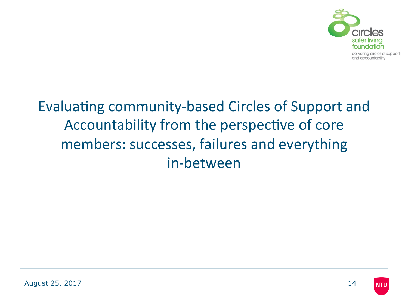

### Evaluating community-based Circles of Support and Accountability from the perspective of core members: successes, failures and everything in-between

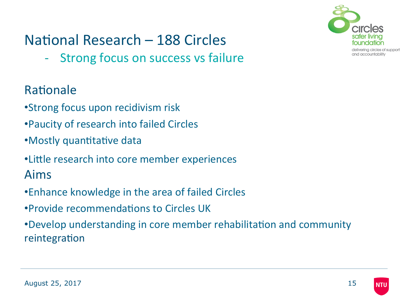

### National Research – 188 Circles

- Strong focus on success vs failure

### Rationale

- •Strong focus upon recidivism risk
- Paucity of research into failed Circles
- •Mostly quantitative data
- Little research into core member experiences
- Aims
- •Enhance knowledge in the area of failed Circles
- •Provide recommendations to Circles UK
- •Develop understanding in core member rehabilitation and community reintegration

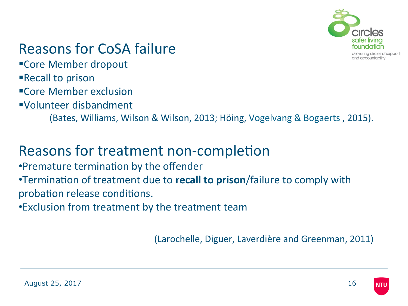

### **Reasons for CoSA failure**

■Core Member dropout

■Recall to prison

■Core Member exclusion

§Volunteer disbandment 

(Bates, Williams, Wilson & Wilson, 2013; Höing, Vogelvang & Bogaerts, 2015).

### Reasons for treatment non-completion

•Premature termination by the offender

•Termination of treatment due to **recall to prison**/failure to comply with probation release conditions.

•Exclusion from treatment by the treatment team

(Larochelle, Diguer, Laverdière and Greenman, 2011)

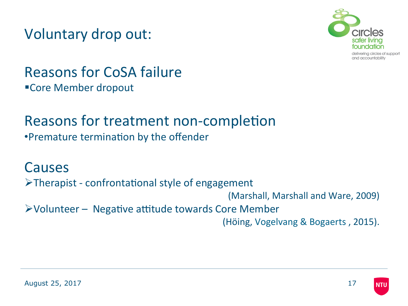Voluntary drop out:



### **Reasons for CoSA failure** ■Core Member dropout

# Reasons for treatment non-completion

•Premature termination by the offender

Causes  $\triangleright$ Therapist - confrontational style of engagement (Marshall, Marshall and Ware, 2009)  $\triangleright$  Volunteer – Negative attitude towards Core Member (Höing, Vogelvang & Bogaerts, 2015).

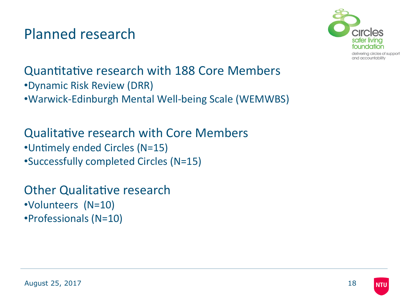Planned research



Quantitative research with 188 Core Members •Dynamic Risk Review (DRR) •Warwick-Edinburgh Mental Well-being Scale (WEMWBS) 

Qualitative research with Core Members •Untimely ended Circles (N=15) •Successfully completed Circles (N=15) 

**Other Qualitative research** •Volunteers (N=10) •Professionals (N=10) 

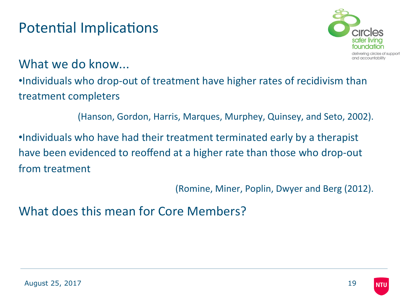### Potential Implications



What we do know...

•Individuals who drop-out of treatment have higher rates of recidivism than treatment completers

(Hanson, Gordon, Harris, Marques, Murphey, Quinsey, and Seto, 2002).

•Individuals who have had their treatment terminated early by a therapist have been evidenced to reoffend at a higher rate than those who drop-out from treatment 

(Romine, Miner, Poplin, Dwyer and Berg (2012).

What does this mean for Core Members?

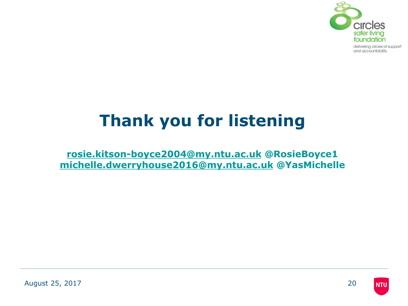

# **Thank you for listening**

**rosie.kitson-boyce2004@my.ntu.ac.uk @RosieBoyce1 michelle.dwerryhouse2016@my.ntu.ac.uk @YasMichelle** 

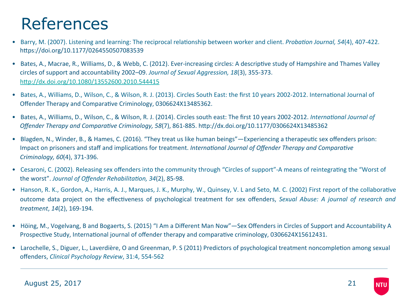### References

- Barry, M. (2007). Listening and learning: The reciprocal relationship between worker and client. *Probation Journal, 54*(4), 407-422. https://doi.org/10.1177/0264550507083539
- Bates, A., Macrae, R., Williams, D., & Webb, C. (2012). Ever-increasing circles: A descriptive study of Hampshire and Thames Valley circles of support and accountability 2002–09. *Journal of Sexual Aggression, 18*(3), 355-373. http://dx.doi.org/10.1080/13552600.2010.544415
- Bates, A., Williams, D., Wilson, C., & Wilson, R. J. (2013). Circles South East: the first 10 years 2002-2012. International Journal of Offender Therapy and Comparative Criminology, 0306624X13485362.
- Bates, A., Williams, D., Wilson, C., & Wilson, R. J. (2014). Circles south east: The first 10 years 2002-2012. *International Journal of Offender Therapy and Compara've Criminology, 58*(7), 861-885. hap://dx.doi.org/10.1177/0306624X13485362
- Blagden, N., Winder, B., & Hames, C. (2016). "They treat us like human beings"—Experiencing a therapeutic sex offenders prison: Impact on prisoners and staff and implications for treatment. *International Journal of Offender Therapy and Comparative Criminology, 60*(4), 371-396.
- Cesaroni, C. (2002). Releasing sex offenders into the community through "Circles of support"-A means of reintegrating the "Worst of the worst". Journal of Offender Rehabilitation, 34(2), 85-98.
- Hanson, R. K., Gordon, A., Harris, A. J., Marques, J. K., Murphy, W., Quinsey, V. L and Seto, M. C. (2002) First report of the collaborative outcome data project on the effectiveness of psychological treatment for sex offenders, *Sexual Abuse: A journal of research and treatment*, *14*(2), 169-194.
- Höing, M., Vogelvang, B and Bogaerts, S. (2015) "I Am a Different Man Now"—Sex Offenders in Circles of Support and Accountability A Prospective Study, International journal of offender therapy and comparative criminology, 0306624X15612431.
- Larochelle, S., Diguer, L., Laverdière, O and Greenman, P. S (2011) Predictors of psychological treatment noncompletion among sexual offenders, *Clinical Psychology Review*, 31:4, 554-562